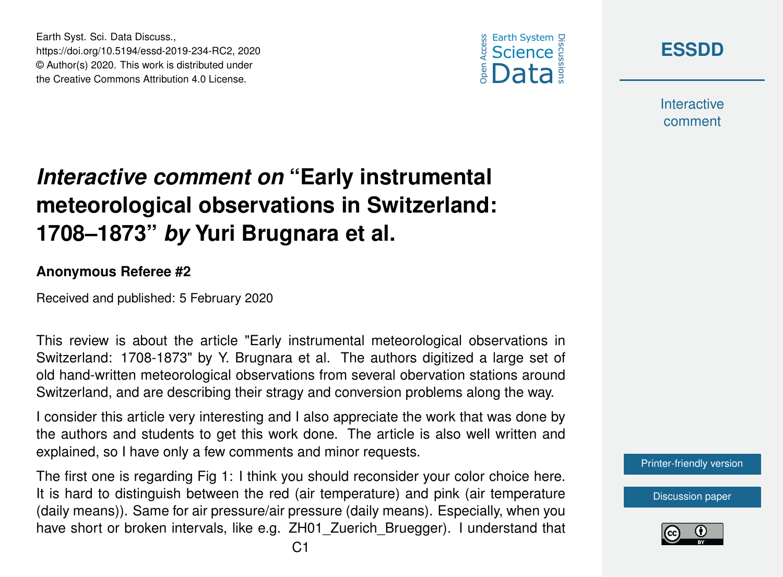

**[ESSDD](https://www.earth-syst-sci-data-discuss.net/)**

**Interactive** comment

## *Interactive comment on* **"Early instrumental meteorological observations in Switzerland: 1708–1873"** *by* **Yuri Brugnara et al.**

## **Anonymous Referee #2**

Earth Syst. Sci. Data Discuss.,

https://doi.org/10.5194/essd-2019-234-RC2, 2020 © Author(s) 2020. This work is distributed under the Creative Commons Attribution 4.0 License.

Received and published: 5 February 2020

This review is about the article "Early instrumental meteorological observations in Switzerland: 1708-1873" by Y. Brugnara et al. The authors digitized a large set of old hand-written meteorological observations from several obervation stations around Switzerland, and are describing their stragy and conversion problems along the way.

I consider this article very interesting and I also appreciate the work that was done by the authors and students to get this work done. The article is also well written and explained, so I have only a few comments and minor requests.

The first one is regarding Fig 1: I think you should reconsider your color choice here. It is hard to distinguish between the red (air temperature) and pink (air temperature (daily means)). Same for air pressure/air pressure (daily means). Especially, when you have short or broken intervals, like e.g. ZH01\_Zuerich\_Bruegger). I understand that [Printer-friendly version](https://www.earth-syst-sci-data-discuss.net/essd-2019-234/essd-2019-234-RC2-print.pdf)

[Discussion paper](https://www.earth-syst-sci-data-discuss.net/essd-2019-234)

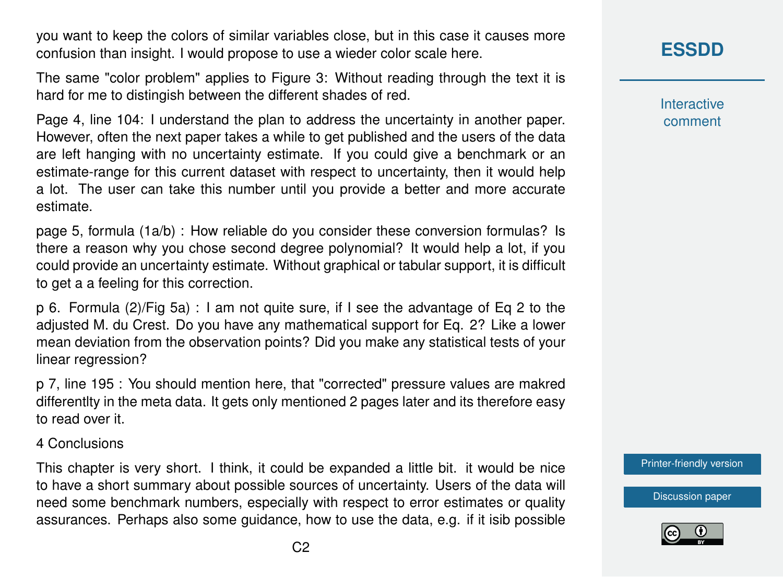you want to keep the colors of similar variables close, but in this case it causes more confusion than insight. I would propose to use a wieder color scale here.

The same "color problem" applies to Figure 3: Without reading through the text it is hard for me to distingish between the different shades of red.

Page 4, line 104: I understand the plan to address the uncertainty in another paper. However, often the next paper takes a while to get published and the users of the data are left hanging with no uncertainty estimate. If you could give a benchmark or an estimate-range for this current dataset with respect to uncertainty, then it would help a lot. The user can take this number until you provide a better and more accurate estimate.

page 5, formula (1a/b) : How reliable do you consider these conversion formulas? Is there a reason why you chose second degree polynomial? It would help a lot, if you could provide an uncertainty estimate. Without graphical or tabular support, it is difficult to get a a feeling for this correction.

p 6. Formula (2)/Fig 5a) : I am not quite sure, if I see the advantage of Eq 2 to the adjusted M. du Crest. Do you have any mathematical support for Eq. 2? Like a lower mean deviation from the observation points? Did you make any statistical tests of your linear regression?

p 7, line 195 : You should mention here, that "corrected" pressure values are makred differentlty in the meta data. It gets only mentioned 2 pages later and its therefore easy to read over it.

4 Conclusions

This chapter is very short. I think, it could be expanded a little bit. it would be nice to have a short summary about possible sources of uncertainty. Users of the data will need some benchmark numbers, especially with respect to error estimates or quality assurances. Perhaps also some guidance, how to use the data, e.g. if it isib possible

## **[ESSDD](https://www.earth-syst-sci-data-discuss.net/)**

**Interactive** comment

[Printer-friendly version](https://www.earth-syst-sci-data-discuss.net/essd-2019-234/essd-2019-234-RC2-print.pdf)

[Discussion paper](https://www.earth-syst-sci-data-discuss.net/essd-2019-234)